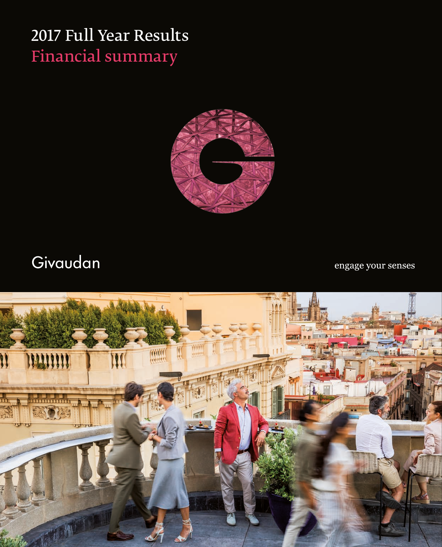### 2017 Full Year Results Financial summary



## Givaudan

engage your senses

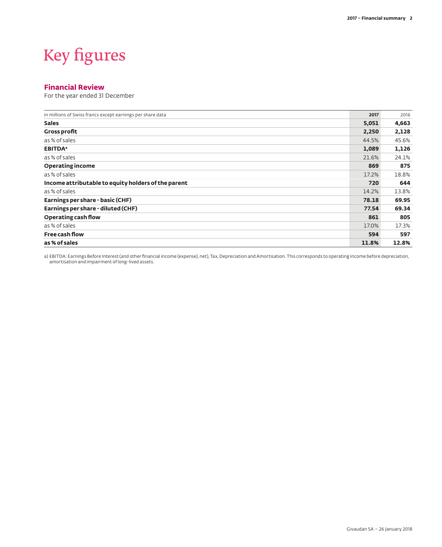# Key figures

#### **Financial Review**

For the year ended 31 December

| in millions of Swiss francs except earnings per share data | 2017  | 2016  |
|------------------------------------------------------------|-------|-------|
| <b>Sales</b>                                               | 5,051 | 4,663 |
| <b>Gross profit</b>                                        | 2,250 | 2,128 |
| as % of sales                                              | 44.5% | 45.6% |
| <b>EBITDA</b> <sup>a</sup>                                 | 1,089 | 1,126 |
| as % of sales                                              | 21.6% | 24.1% |
| <b>Operating income</b>                                    | 869   | 875   |
| as % of sales                                              | 17.2% | 18.8% |
| Income attributable to equity holders of the parent        | 720   | 644   |
| as % of sales                                              | 14.2% | 13.8% |
| Earnings per share - basic (CHF)                           | 78.18 | 69.95 |
| Earnings per share - diluted (CHF)                         | 77.54 | 69.34 |
| Operating cash flow                                        | 861   | 805   |
| as % of sales                                              | 17.0% | 17.3% |
| <b>Free cash flow</b>                                      | 594   | 597   |
| as % of sales                                              | 11.8% | 12.8% |

a) EBITDA: Earnings Before Interest (and other financial income (expense), net), Tax, Depreciation and Amortisation. This corresponds to operating income before depreciation,<br>amortisation and impairment of long-lived asset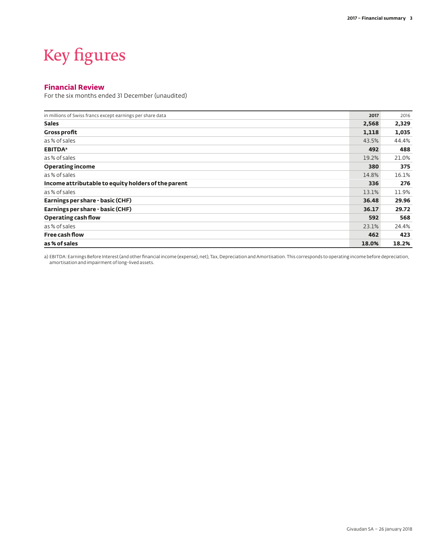## Key figures

#### **Financial Review**

For the six months ended 31 December (unaudited)

| in millions of Swiss francs except earnings per share data | 2017  | 2016  |
|------------------------------------------------------------|-------|-------|
| <b>Sales</b>                                               | 2,568 | 2,329 |
| <b>Gross profit</b>                                        | 1,118 | 1,035 |
| as % of sales                                              | 43.5% | 44.4% |
| <b>EBITDA</b> <sup>a</sup>                                 | 492   | 488   |
| as % of sales                                              | 19.2% | 21.0% |
| <b>Operating income</b>                                    | 380   | 375   |
| as % of sales                                              | 14.8% | 16.1% |
| Income attributable to equity holders of the parent        | 336   | 276   |
| as % of sales                                              | 13.1% | 11.9% |
| Earnings per share - basic (CHF)                           | 36.48 | 29.96 |
| Earnings per share - basic (CHF)                           | 36.17 | 29.72 |
| Operating cash flow                                        | 592   | 568   |
| as % of sales                                              | 23.1% | 24.4% |
| <b>Free cash flow</b>                                      | 462   | 423   |
| as % of sales                                              | 18.0% | 18.2% |

a) EBITDA: Earnings Before Interest (and other financial income (expense), net), Tax, Depreciation and Amortisation. This corresponds to operating income before depreciation,<br>amortisation and impairment of long-lived asset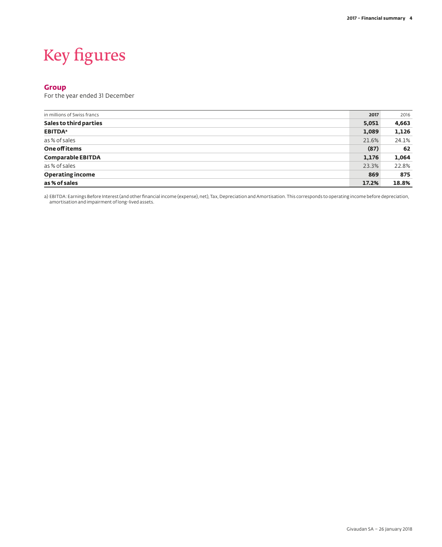# Key figures

#### **Group**

For the year ended 31 December

| in millions of Swiss francs | 2017  | 2016  |
|-----------------------------|-------|-------|
| Sales to third parties      | 5,051 | 4,663 |
| <b>EBITDA</b> <sup>a</sup>  | 1,089 | 1,126 |
| as % of sales               | 21.6% | 24.1% |
| One off items               | (87)  | 62    |
| <b>Comparable EBITDA</b>    | 1,176 | 1,064 |
| as % of sales               | 23.3% | 22.8% |
| <b>Operating income</b>     | 869   | 875   |
| as % of sales               | 17.2% | 18.8% |

a) EBITDA: Earnings Before Interest (and other financial income (expense), net), Tax, Depreciation and Amortisation. This corresponds to operating income before depreciation,<br>amortisation and impairment of long-lived asset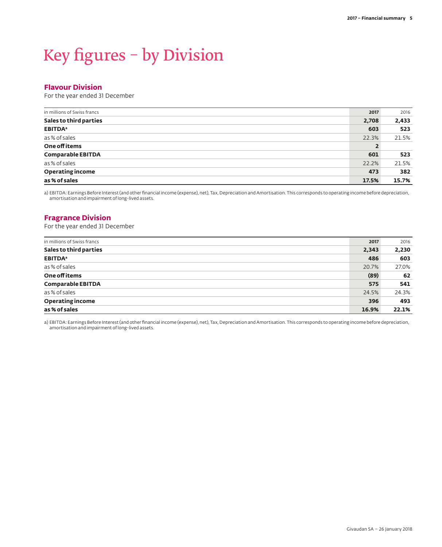## Key figures – by Division

#### **Flavour Division**

For the year ended 31 December

| in millions of Swiss francs | 2017  | 2016  |
|-----------------------------|-------|-------|
| Sales to third parties      | 2,708 | 2,433 |
| <b>EBITDA</b> <sup>a</sup>  | 603   | 523   |
| as % of sales               | 22.3% | 21.5% |
| One off items               |       |       |
| <b>Comparable EBITDA</b>    | 601   | 523   |
| as % of sales               | 22.2% | 21.5% |
| <b>Operating income</b>     | 473   | 382   |
| as % of sales               | 17.5% | 15.7% |

a) EBITDA: Earnings Before Interest (and other financial income (expense), net), Tax, Depreciation and Amortisation. This corresponds to operating income before depreciation, amortisation and impairment of long-lived assets.

#### **Fragrance Division**

For the year ended 31 December

| in millions of Swiss francs | 2017  | 2016  |
|-----------------------------|-------|-------|
| Sales to third parties      | 2,343 | 2,230 |
| <b>EBITDA</b> <sup>a</sup>  | 486   | 603   |
| as % of sales               | 20.7% | 27.0% |
| One off items               | (89)  | 62    |
| <b>Comparable EBITDA</b>    | 575   | 541   |
| as % of sales               | 24.5% | 24.3% |
| <b>Operating income</b>     | 396   | 493   |
| as % of sales               | 16.9% | 22.1% |

a) EBITDA: Earnings Before Interest (and other financial income (expense), net), Tax, Depreciation and Amortisation. This corresponds to operating income before depreciation, amortisation and impairment of long-lived assets.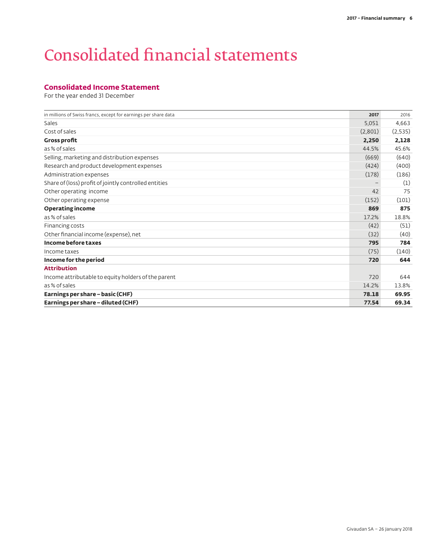### Consolidated financial statements

#### **Consolidated Income Statement**

| in millions of Swiss francs, except for earnings per share data | 2017    | 2016    |
|-----------------------------------------------------------------|---------|---------|
| Sales                                                           | 5,051   | 4,663   |
| Cost of sales                                                   | (2,801) | (2,535) |
| <b>Gross profit</b>                                             | 2,250   | 2,128   |
| as % of sales                                                   | 44.5%   | 45.6%   |
| Selling, marketing and distribution expenses                    | (669)   | (640)   |
| Research and product development expenses                       | (424)   | (400)   |
| Administration expenses                                         | (178)   | (186)   |
| Share of (loss) profit of jointly controlled entities           |         | (1)     |
| Other operating income                                          | 42      | 75      |
| Other operating expense                                         | (152)   | (101)   |
| <b>Operating income</b>                                         | 869     | 875     |
| as % of sales                                                   | 17.2%   | 18.8%   |
| Financing costs                                                 | (42)    | (51)    |
| Other financial income (expense), net                           | (32)    | (40)    |
| Income before taxes                                             | 795     | 784     |
| Income taxes                                                    | (75)    | (140)   |
| Income for the period                                           | 720     | 644     |
| <b>Attribution</b>                                              |         |         |
| Income attributable to equity holders of the parent             | 720     | 644     |
| as % of sales                                                   | 14.2%   | 13.8%   |
| Earnings per share - basic (CHF)                                | 78.18   | 69.95   |
| Earnings per share - diluted (CHF)                              | 77.54   | 69.34   |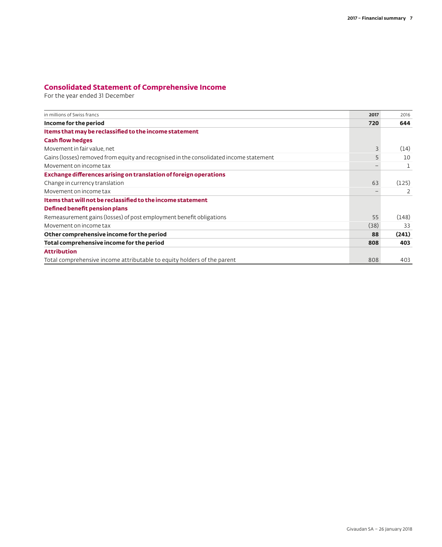### **Consolidated Statement of Comprehensive Income**

| in millions of Swiss francs                                                            | 2017 | 2016  |
|----------------------------------------------------------------------------------------|------|-------|
| Income for the period                                                                  | 720  | 644   |
| Items that may be reclassified to the income statement                                 |      |       |
| <b>Cash flow hedges</b>                                                                |      |       |
| Movement in fair value, net                                                            | 3    | (14)  |
| Gains (losses) removed from equity and recognised in the consolidated income statement |      | 10    |
| Movement on income tax                                                                 |      |       |
| Exchange differences arising on translation of foreign operations                      |      |       |
| Change in currency translation                                                         | 63   | (125) |
| Movement on income tax                                                                 |      |       |
| Items that will not be reclassified to the income statement                            |      |       |
| Defined benefit pension plans                                                          |      |       |
| Remeasurement gains (losses) of post employment benefit obligations                    | 55   | (148) |
| Movement on income tax                                                                 | (38) | 33    |
| Other comprehensive income for the period                                              | 88   | (241) |
| Total comprehensive income for the period                                              | 808  | 403   |
| <b>Attribution</b>                                                                     |      |       |
| Total comprehensive income attributable to equity holders of the parent                | 808  | 403   |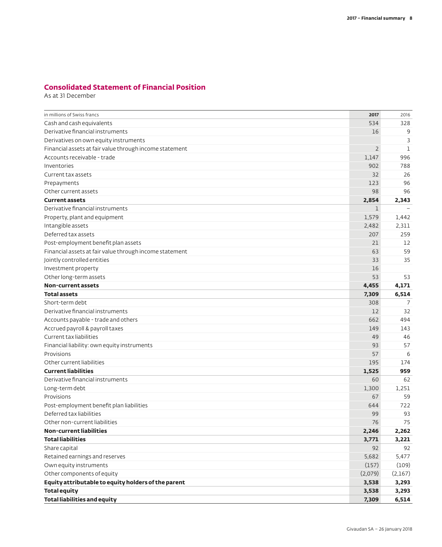### **Consolidated Statement of Financial Position**

As at 31 December

| in millions of Swiss francs                             | 2017           | 2016    |
|---------------------------------------------------------|----------------|---------|
| Cash and cash equivalents                               | 534            | 328     |
| Derivative financial instruments                        | 16             | 9       |
| Derivatives on own equity instruments                   |                | 3       |
| Financial assets at fair value through income statement | $\overline{2}$ | 1       |
| Accounts receivable - trade                             | 1,147          | 996     |
| Inventories                                             | 902            | 788     |
| Current tax assets                                      | 32             | 26      |
| Prepayments                                             | 123            | 96      |
| Other current assets                                    | 98             | 96      |
| <b>Current assets</b>                                   | 2,854          | 2,343   |
| Derivative financial instruments                        | $\mathbf 1$    |         |
| Property, plant and equipment                           | 1,579          | 1,442   |
| Intangible assets                                       | 2,482          | 2,311   |
| Deferred tax assets                                     | 207            | 259     |
| Post-employment benefit plan assets                     | 21             | 12      |
| Financial assets at fair value through income statement | 63             | 59      |
| Jointly controlled entities                             | 33             | 35      |
| Investment property                                     | 16             |         |
| Other long-term assets                                  | 53             | 53      |
| Non-current assets                                      | 4,455          | 4,171   |
| <b>Total assets</b>                                     | 7,309          | 6,514   |
| Short-term debt                                         | 308            | 7       |
| Derivative financial instruments                        | 12             | 32      |
| Accounts payable - trade and others                     | 662            | 494     |
| Accrued payroll & payroll taxes                         | 149            | 143     |
| Current tax liabilities                                 | 49             | 46      |
| Financial liability: own equity instruments             | 93             | 57      |
| Provisions                                              | 57             | 6       |
| Other current liabilities                               | 195            | 174     |
| <b>Current liabilities</b>                              | 1,525          | 959     |
| Derivative financial instruments                        | 60             | 62      |
| Long-term debt                                          | 1,300          | 1,251   |
| Provisions                                              | 67             | 59      |
| Post-employment benefit plan liabilities                | 644            | 722     |
| Deferred tax liabilities                                | 99             | 93      |
| Other non-current liabilities                           | 76             | 75      |
| <b>Non-current liabilities</b>                          | 2,246          | 2,262   |
| <b>Total liabilities</b>                                | 3,771          | 3,221   |
| Share capital                                           | 92             | 92      |
| Retained earnings and reserves                          | 5,682          | 5,477   |
| Own equity instruments                                  | (157)          | (109)   |
| Other components of equity                              | (2,079)        | (2,167) |
| Equity attributable to equity holders of the parent     | 3,538          | 3,293   |
| <b>Total equity</b>                                     | 3,538          | 3,293   |
| <b>Total liabilities and equity</b>                     | 7,309          | 6,514   |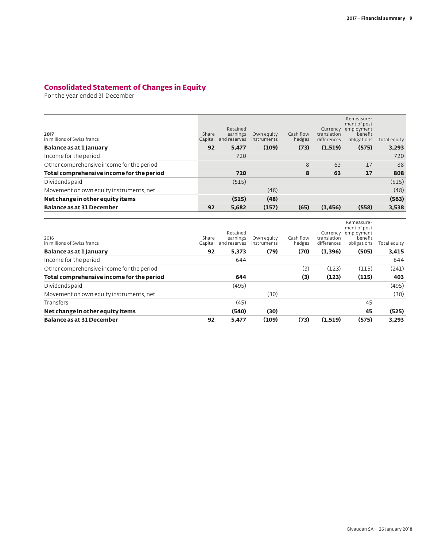### **Consolidated Statement of Changes in Equity**

| 2017<br>in millions of Swiss francs       | Share<br>Capital | Retained<br>earnings<br>and reserves | Own equity<br>instruments | Cash flow<br>hedges | Currency<br>translation<br>differences | Remeasure-<br>ment of post<br>employment<br>benefit<br>obligations | Total equity |
|-------------------------------------------|------------------|--------------------------------------|---------------------------|---------------------|----------------------------------------|--------------------------------------------------------------------|--------------|
| Balance as at 1 January                   | 92               | 5,477                                | (109)                     | (73)                | (1, 519)                               | (575)                                                              | 3,293        |
| Income for the period                     |                  | 720                                  |                           |                     |                                        |                                                                    | 720          |
| Other comprehensive income for the period |                  |                                      |                           | 8                   | 63                                     | 17                                                                 | 88           |
| Total comprehensive income for the period |                  | 720                                  |                           | 8                   | 63                                     | 17                                                                 | 808          |
| Dividends paid                            |                  | (515)                                |                           |                     |                                        |                                                                    | (515)        |
| Movement on own equity instruments, net   |                  |                                      | (48)                      |                     |                                        |                                                                    | (48)         |
| Net change in other equity items          |                  | (515)                                | (48)                      |                     |                                        |                                                                    | (563)        |
| <b>Balance as at 31 December</b>          | 92               | 5,682                                | (157)                     | (65)                | (1, 456)                               | (558)                                                              | 3,538        |

| 2016<br>in millions of Swiss francs       | Share<br>Capital | Retained<br>earnings<br>and reserves | Own equity<br>instruments | Cash flow<br>hedges | Currency<br>translation<br>differences | Remeasure-<br>ment of post<br>employment<br>benefit<br>obligations | Total equity |
|-------------------------------------------|------------------|--------------------------------------|---------------------------|---------------------|----------------------------------------|--------------------------------------------------------------------|--------------|
| Balance as at 1 January                   | 92               | 5,373                                | (79)                      | (70)                | (1,396)                                | (505)                                                              | 3,415        |
| Income for the period                     |                  | 644                                  |                           |                     |                                        |                                                                    | 644          |
| Other comprehensive income for the period |                  |                                      |                           | (3)                 | (123)                                  | (115)                                                              | (241)        |
| Total comprehensive income for the period |                  | 644                                  |                           | (3)                 | (123)                                  | (115)                                                              | 403          |
| Dividends paid                            |                  | (495)                                |                           |                     |                                        |                                                                    | (495)        |
| Movement on own equity instruments, net   |                  |                                      | (30)                      |                     |                                        |                                                                    | (30)         |
| Transfers                                 |                  | (45)                                 |                           |                     |                                        | 45                                                                 |              |
| Net change in other equity items          |                  | (540)                                | (30)                      |                     |                                        | 45                                                                 | (525)        |
| <b>Balance as at 31 December</b>          | 92               | 5,477                                | (109)                     | (73)                | (1,519)                                | (575)                                                              | 3,293        |